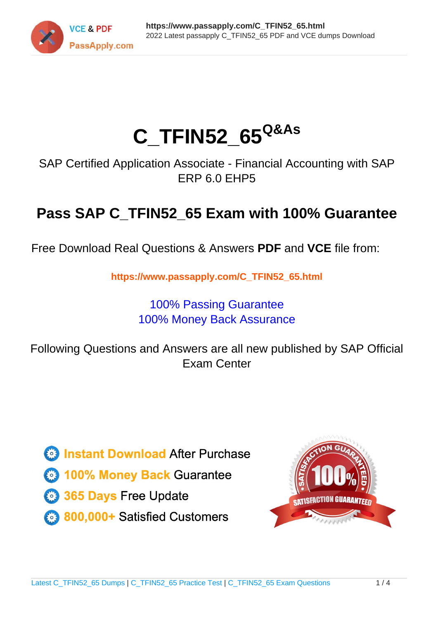

# **C\_TFIN52\_65Q&As**

SAP Certified Application Associate - Financial Accounting with SAP ERP 6.0 EHP5

## **Pass SAP C\_TFIN52\_65 Exam with 100% Guarantee**

Free Download Real Questions & Answers **PDF** and **VCE** file from:

**https://www.passapply.com/C\_TFIN52\_65.html**

### 100% Passing Guarantee 100% Money Back Assurance

Following Questions and Answers are all new published by SAP Official Exam Center

**Colonization** Download After Purchase

- **@ 100% Money Back Guarantee**
- **63 365 Days Free Update**
- 800,000+ Satisfied Customers

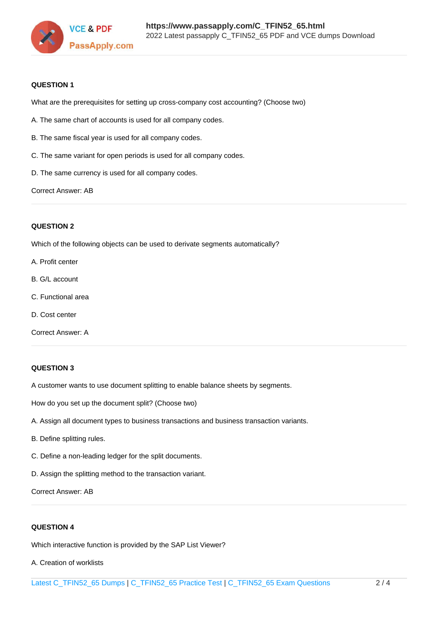

#### **QUESTION 1**

What are the prerequisites for setting up cross-company cost accounting? (Choose two)

- A. The same chart of accounts is used for all company codes.
- B. The same fiscal year is used for all company codes.
- C. The same variant for open periods is used for all company codes.
- D. The same currency is used for all company codes.

Correct Answer: AB

#### **QUESTION 2**

Which of the following objects can be used to derivate segments automatically?

- A. Profit center
- B. G/L account
- C. Functional area
- D. Cost center
- Correct Answer: A

#### **QUESTION 3**

A customer wants to use document splitting to enable balance sheets by segments.

How do you set up the document split? (Choose two)

- A. Assign all document types to business transactions and business transaction variants.
- B. Define splitting rules.
- C. Define a non-leading ledger for the split documents.
- D. Assign the splitting method to the transaction variant.

Correct Answer: AB

#### **QUESTION 4**

Which interactive function is provided by the SAP List Viewer?

A. Creation of worklists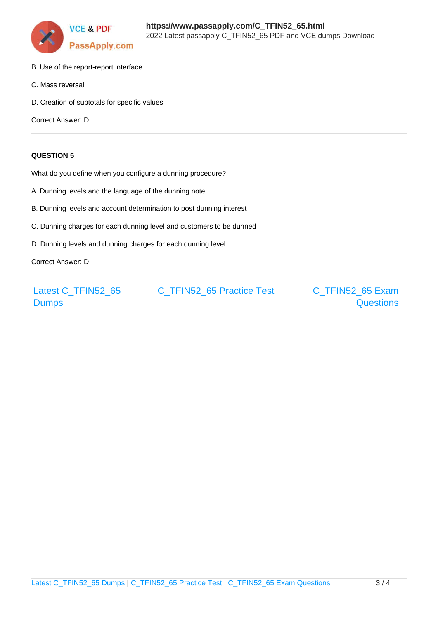

- B. Use of the report-report interface
- C. Mass reversal
- D. Creation of subtotals for specific values

Correct Answer: D

#### **QUESTION 5**

What do you define when you configure a dunning procedure?

- A. Dunning levels and the language of the dunning note
- B. Dunning levels and account determination to post dunning interest
- C. Dunning charges for each dunning level and customers to be dunned
- D. Dunning levels and dunning charges for each dunning level

Correct Answer: D

[Latest C\\_TFIN52\\_65](https://www.passapply.com/C_TFIN52_65.html) **[Dumps](https://www.passapply.com/C_TFIN52_65.html)** 

[C\\_TFIN52\\_65 Practice Test](https://www.passapply.com/C_TFIN52_65.html) [C\\_TFIN52\\_65 Exam](https://www.passapply.com/C_TFIN52_65.html)

**[Questions](https://www.passapply.com/C_TFIN52_65.html)**